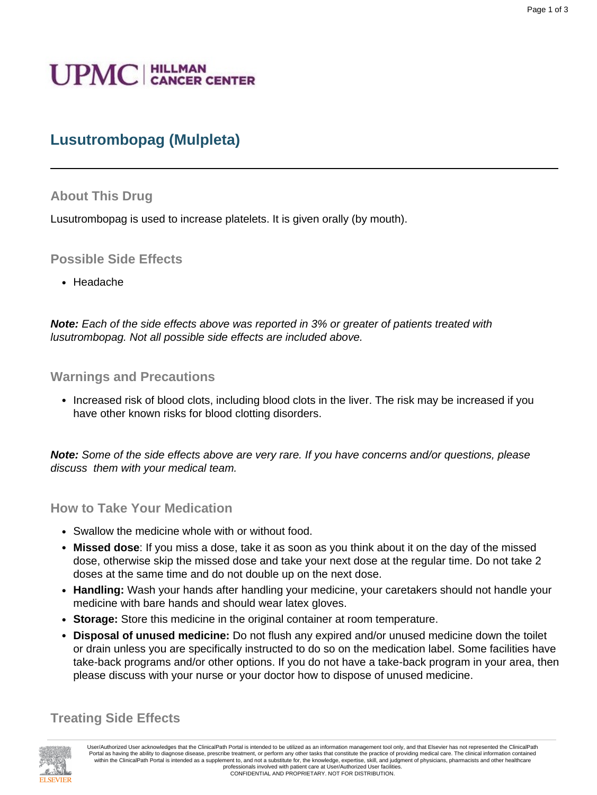# **UPMC** | HILLMAN

# **Lusutrombopag (Mulpleta)**

#### **About This Drug**

Lusutrombopag is used to increase platelets. It is given orally (by mouth).

#### **Possible Side Effects**

• Headache

**Note:** Each of the side effects above was reported in 3% or greater of patients treated with lusutrombopag. Not all possible side effects are included above.

#### **Warnings and Precautions**

• Increased risk of blood clots, including blood clots in the liver. The risk may be increased if you have other known risks for blood clotting disorders.

**Note:** Some of the side effects above are very rare. If you have concerns and/or questions, please discuss them with your medical team.

#### **How to Take Your Medication**

- Swallow the medicine whole with or without food.
- **Missed dose**: If you miss a dose, take it as soon as you think about it on the day of the missed dose, otherwise skip the missed dose and take your next dose at the regular time. Do not take 2 doses at the same time and do not double up on the next dose.
- **Handling:** Wash your hands after handling your medicine, your caretakers should not handle your medicine with bare hands and should wear latex gloves.
- **Storage:** Store this medicine in the original container at room temperature.
- **Disposal of unused medicine:** Do not flush any expired and/or unused medicine down the toilet or drain unless you are specifically instructed to do so on the medication label. Some facilities have take-back programs and/or other options. If you do not have a take-back program in your area, then please discuss with your nurse or your doctor how to dispose of unused medicine.

#### **Treating Side Effects**



User/Authorized User acknowledges that the ClinicalPath Portal is intended to be utilized as an information management tool only, and that Elsevier has not represented the ClinicalPath Portal as having the ability to diagnose disease, prescribe treatment, or perform any other tasks that constitute the practice of providing medical care. The clinical information contained within the ClinicalPath Portal is intended as a supplement to, and not a substitute for, the knowledge, expertise, skill, and judgment of physicians, pharmacists and other healthcare professionals involved with patient care at User/Authorized User facilities. CONFIDENTIAL AND PROPRIETARY. NOT FOR DISTRIBUTION.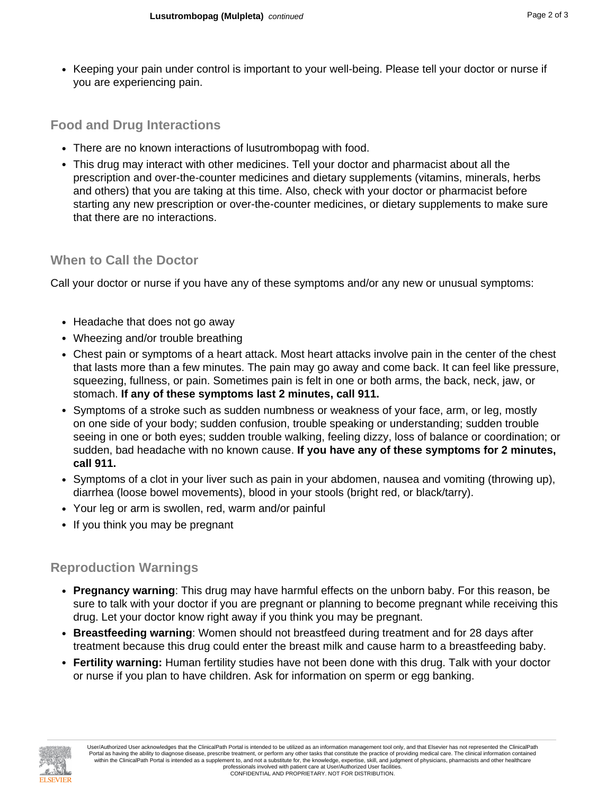• Keeping your pain under control is important to your well-being. Please tell your doctor or nurse if you are experiencing pain.

### **Food and Drug Interactions**

- There are no known interactions of lusutrombopag with food.
- This drug may interact with other medicines. Tell your doctor and pharmacist about all the prescription and over-the-counter medicines and dietary supplements (vitamins, minerals, herbs and others) that you are taking at this time. Also, check with your doctor or pharmacist before starting any new prescription or over-the-counter medicines, or dietary supplements to make sure that there are no interactions.

## **When to Call the Doctor**

Call your doctor or nurse if you have any of these symptoms and/or any new or unusual symptoms:

- Headache that does not go away
- Wheezing and/or trouble breathing
- Chest pain or symptoms of a heart attack. Most heart attacks involve pain in the center of the chest that lasts more than a few minutes. The pain may go away and come back. It can feel like pressure, squeezing, fullness, or pain. Sometimes pain is felt in one or both arms, the back, neck, jaw, or stomach. **If any of these symptoms last 2 minutes, call 911.**
- Symptoms of a stroke such as sudden numbness or weakness of your face, arm, or leg, mostly on one side of your body; sudden confusion, trouble speaking or understanding; sudden trouble seeing in one or both eyes; sudden trouble walking, feeling dizzy, loss of balance or coordination; or sudden, bad headache with no known cause. **If you have any of these symptoms for 2 minutes, call 911.**
- Symptoms of a clot in your liver such as pain in your abdomen, nausea and vomiting (throwing up), diarrhea (loose bowel movements), blood in your stools (bright red, or black/tarry).
- Your leg or arm is swollen, red, warm and/or painful
- If you think you may be pregnant

## **Reproduction Warnings**

- **Pregnancy warning**: This drug may have harmful effects on the unborn baby. For this reason, be sure to talk with your doctor if you are pregnant or planning to become pregnant while receiving this drug. Let your doctor know right away if you think you may be pregnant.
- **Breastfeeding warning**: Women should not breastfeed during treatment and for 28 days after treatment because this drug could enter the breast milk and cause harm to a breastfeeding baby.
- **Fertility warning:** Human fertility studies have not been done with this drug. Talk with your doctor or nurse if you plan to have children. Ask for information on sperm or egg banking.